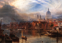